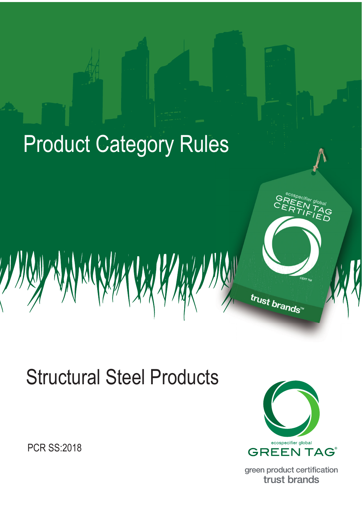

# Structural Steel Products

PCR SS:2018



green product certification trust brands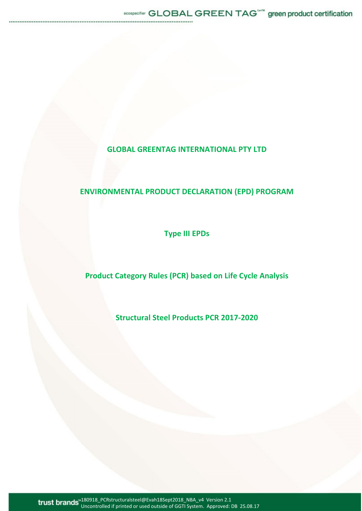# **GLOBAL GREENTAG INTERNATIONAL PTY LTD**

# **ENVIRONMENTAL PRODUCT DECLARATION (EPD) PROGRAM**

**Type III EPDs** 

# **Product Category Rules (PCR) based on Life Cycle Analysis**

**Structural Steel Products PCR 2017‐2020** 

180918\_PCRstructuralsteel@Evah18Sept2018\_NBA\_v4 Version 2.1 Uncontrolled if printed or used outside of GGTI System. Approved: DB 25.08.17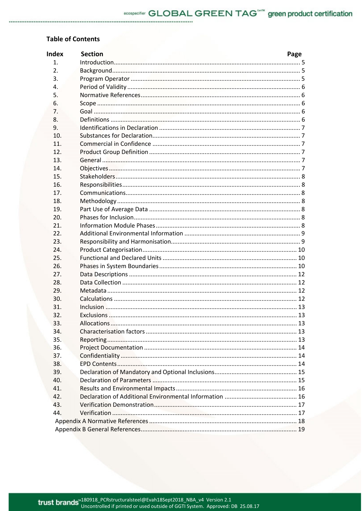# **Table of Contents**

| <b>Index</b>   | <b>Section</b> | Page |
|----------------|----------------|------|
| $\mathbf{1}$ . |                |      |
| 2.             |                |      |
| 3.             |                |      |
| 4.             |                |      |
| 5.             |                |      |
| 6.             |                |      |
| 7.             |                |      |
| 8.             |                |      |
| 9.             |                |      |
| 10.            |                |      |
| 11.            |                |      |
| 12.            |                |      |
| 13.            |                |      |
| 14.            |                |      |
| 15.            |                |      |
| 16.            |                |      |
| 17.            |                |      |
| 18.            |                |      |
| 19.            |                |      |
| 20.            |                |      |
| 21.            |                |      |
| 22.            |                |      |
| 23.            |                |      |
| 24.            |                |      |
| 25.            |                |      |
| 26.            |                |      |
| 27.            |                |      |
| 28.            |                |      |
| 29.            |                |      |
| 30.            |                |      |
| 31.            |                |      |
| 32.            |                |      |
| 33.            |                |      |
| 34.            |                |      |
| 35.            |                |      |
| 36.            |                |      |
| 37.            |                |      |
| 38.            |                |      |
| 39.            |                |      |
| 40.            |                |      |
| 41.            |                |      |
| 42.            |                |      |
| 43.            |                |      |
| 44.            |                |      |
|                |                |      |
|                |                |      |
|                |                |      |

.............................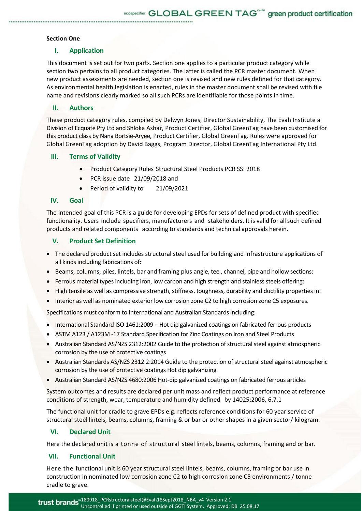# **Section One**

# **I. Application**

This document is set out for two parts. Section one applies to a particular product category while section two pertains to all product categories. The latter is called the PCR master document. When new product assessments are needed, section one is revised and new rules defined for that category. As environmental health legislation is enacted, rules in the master document shall be revised with file name and revisions clearly marked so all such PCRs are identifiable for those points in time.

# **II. Authors**

These product category rules, compiled by Delwyn Jones, Director Sustainability, The Evah Institute a Division of Ecquate Pty Ltd and Shloka Ashar, Product Certifier, Global GreenTag have been customised for this product class by Nana Bortsie‐Aryee, Product Certifier, Global GreenTag. Rules were approved for Global GreenTag adoption by David Baggs, Program Director, Global GreenTag International Pty Ltd.

# **III. Terms of Validity**

- **•** Product Category Rules Structural Steel Products PCR SS: 2018
- PCR issue date 21/09/2018 and
- Period of validity to 21/09/2021

# **IV. Goal**

The intended goal of this PCR is a guide for developing EPDs for sets of defined product with specified functionality. Users include specifiers, manufacturers and stakeholders. It is valid for all such defined products and related components according to standards and technical approvals herein.

# **V. Product Set Definition**

- The declared product set includes structural steel used for building and infrastructure applications of all kinds including fabrications of:
- **Beams, columns, piles, lintels, bar and framing plus angle, tee, channel, pipe and hollow sections:**
- Ferrous material types including iron, low carbon and high strength and stainless steels offering:
- High tensile as well as compressive strength, stiffness, toughness, durability and ductility properties in:
- Interior as well as nominated exterior low corrosion zone C2 to high corrosion zone C5 exposures.

Specifications must conform to International and Australian Standards including:

- International Standard ISO 1461:2009 Hot dip galvanized coatings on fabricated ferrous products
- ASTM A123 / A123M ‐17 Standard Specification for Zinc Coatings on Iron and Steel Products
- Australian Standard AS/NZS 2312:2002 Guide to the protection of structural steel against atmospheric corrosion by the use of protective coatings
- Australian Standards AS/NZS 2312.2:2014 Guide to the protection of structural steel against atmospheric corrosion by the use of protective coatings Hot dip galvanizing
- Australian Standard AS/NZS 4680:2006 Hot-dip galvanized coatings on fabricated ferrous articles

System outcomes and results are declared per unit mass and reflect product performance at reference conditions of strength, wear, temperature and humidity defined by 14025:2006, 6.7.1

The functional unit for cradle to grave EPDs e.g. reflects reference conditions for 60 year service of structural steel lintels, beams, columns, framing & or bar or other shapes in a given sector/ kilogram.

# **VI. Declared Unit**

Here the declared unit is a tonne of structural steel lintels, beams, columns, framing and or bar.

# **VII. Functional Unit**

Here the functional unit is 60 year structural steel lintels, beams, columns, framing or bar use in construction in nominated low corrosion zone C2 to high corrosion zone C5 environments / tonne cradle to grave.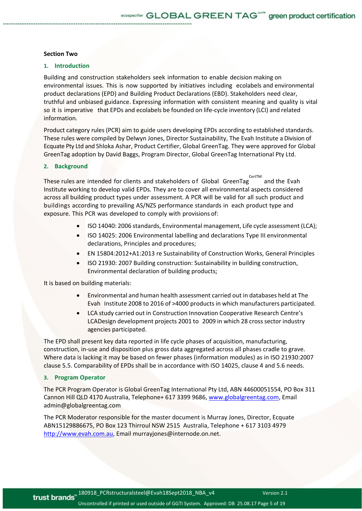#### **Section Two**

#### **1. Introduction**

Building and construction stakeholders seek information to enable decision making on environmental issues. This is now supported by initiatives including ecolabels and environmental product declarations (EPD) and Building Product Declarations (EBD). Stakeholders need clear, truthful and unbiased guidance. Expressing information with consistent meaning and quality is vital so it is imperative that EPDs and ecolabels be founded on life-cycle inventory (LCI) and related information.

Product category rules (PCR) aim to guide users developing EPDs according to established standards. These rules were compiled by Delwyn Jones, Director Sustainability, The Evah Institute a Division of Ecquate Pty Ltd and Shloka Ashar, Product Certifier, Global GreenTag. They were approved for Global GreenTag adoption by David Baggs, Program Director, Global GreenTag International Pty Ltd.

#### **2. Background**

These rules are intended for clients and stakeholders of Global GreenTag CertTM and the Evah Institute working to develop valid EPDs. They are to cover all environmental aspects considered across all building product types under assessment. A PCR will be valid for all such product and buildings according to prevailing AS/NZS performance standards in each product type and exposure. This PCR was developed to comply with provisions of:

- ISO 14040: 2006 standards, Environmental management, Life cycle assessment (LCA);
- ISO 14025: 2006 Environmental labelling and declarations Type III environmental declarations, Principles and procedures;
- EN 15804:2012+A1:2013 re Sustainability of Construction Works, General Principles
- ISO 21930: 2007 Building construction: Sustainability in building construction, Environmental declaration of building products;

It is based on building materials:

- Environmental and human health assessment carried out in databases held at The Evah Institute 2008 to 2016 of >4000 products in which manufacturers participated.
- LCA study carried out in Construction Innovation Cooperative Research Centre's LCADesign development projects 2001 to 2009 in which 28 cross sector industry agencies participated.

The EPD shall present key data reported in life cycle phases of acquisition, manufacturing, construction, in‐use and disposition plus gross data aggregated across all phases cradle to grave. Where data is lacking it may be based on fewer phases (information modules) as in ISO 21930:2007 clause 5.5. Comparability of EPDs shall be in accordance with ISO 14025, clause 4 and 5.6 needs.

#### **3. Program Operator**

The PCR Program Operator is Global GreenTag International Pty Ltd, ABN 44600051554, PO Box 311 Cannon Hill QLD 4170 Australia, Telephone+ 617 3399 9686, www.globalgreentag.com, Email admin@globalgreentag.com

The PCR Moderator responsible for the master document is Murray Jones, Director, Ecquate ABN15129886675, PO Box 123 Thirroul NSW 2515 Australia, Telephone + 617 3103 4979 http://www.evah.com.au, Email murrayjones@internode.on.net.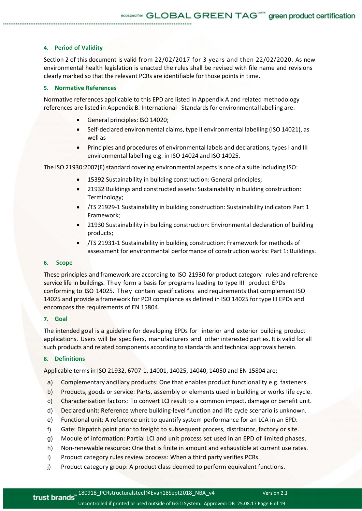# **4. Period of Validity**

Section 2 of this document is valid from 22/02/2017 for 3 years and then 22/02/2020. As new environmental health legislation is enacted the rules shall be revised with file name and revisions clearly marked so that the relevant PCRs are identifiable for those points in time.

#### **5. Normative References**

Normative references applicable to this EPD are listed in Appendix A and related methodology references are listed in Appendix B. International Standards for environmental labelling are:

- General principles: ISO 14020;
- Self-declared environmental claims, type II environmental labelling (ISO 14021), as well as
- Principles and procedures of environmental labels and declarations, types I and III environmental labelling e.g. in ISO 14024 and ISO 14025.

The ISO 21930:2007(E) standard covering environmental aspects is one of a suite including ISO:

- 15392 Sustainability in building construction: General principles;
- 21932 Buildings and constructed assets: Sustainability in building construction: Terminology;
- /TS 21929-1 Sustainability in building construction: Sustainability indicators Part 1 Framework;
- 21930 Sustainability in building construction: Environmental declaration of building products;
- /TS 21931‐1 Sustainability in building construction: Framework for methods of assessment for environmental performance of construction works: Part 1: Buildings.

#### **6. Scope**

These principles and framework are according to ISO 21930 for product category rules and reference service life in buildings. They form a basis for programs leading to type III product EPDs conforming to ISO 14025. T hey contain specifications and requirements that complement ISO 14025 and provide a framework for PCR compliance as defined in ISO 14025 for type III EPDs and encompass the requirements of EN 15804.

#### **7. Goal**

The intended goal is a guideline for developing EPDs for interior and exterior building product applications. Users will be specifiers, manufacturers and other interested parties. It is valid for all such products and related components according to standards and technical approvals herein.

#### **8. Definitions**

Applicable terms in ISO 21932, 6707‐1, 14001, 14025, 14040, 14050 and EN 15804 are:

- a) Complementary ancillary products: One that enables product functionality e.g. fasteners.
- b) Products, goods or service: Parts, assembly or elements used in building or works life cycle.
- c) Characterisation factors: To convert LCI result to a common impact, damage or benefit unit.
- d) Declared unit: Reference where building‐level function and life cycle scenario is unknown.
- e) Functional unit: A reference unit to quantify system performance for an LCA in an EPD.
- f) Gate: Dispatch point prior to freight to subsequent process, distributor, factory or site.
- g) Module of information: Partial LCI and unit process set used in an EPD of limited phases.
- h) Non-renewable resource: One that is finite in amount and exhaustible at current use rates.
- i) Product category rules review process: When a third party verifies PCRs.
- j) Product category group: A product class deemed to perform equivalent functions.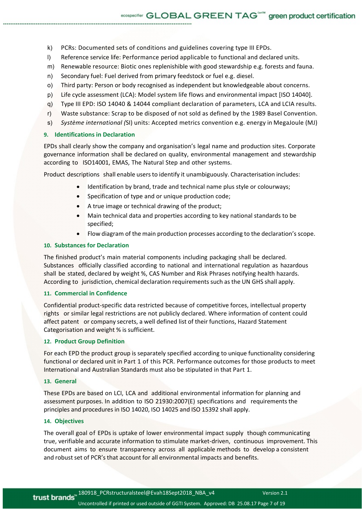- k) PCRs: Documented sets of conditions and guidelines covering type III EPDs.
- l) Reference service life: Performance period applicable to functional and declared units.
- m) Renewable resource: Biotic ones replenishible with good stewardship e.g. forests and fauna.
- n) Secondary fuel: Fuel derived from primary feedstock or fuel e.g. diesel.
- o) Third party: Person or body recognised as independent but knowledgeable about concerns.
- p) Life cycle assessment (LCA): Model system life flows and environmental impact [ISO 14040].
- q) Type III EPD: ISO 14040 & 14044 compliant declaration of parameters, LCA and LCIA results.
- r) Waste substance: Scrap to be disposed of not sold as defined by the 1989 Basel Convention.
- s) *Système international (*SI) units: Accepted metrics convention e.g. energy in MegaJoule (MJ)

#### **9. Identifications in Declaration**

EPDs shall clearly show the company and organisation's legal name and production sites. Corporate governance information shall be declared on quality, environmental management and stewardship according to ISO14001, EMAS, The Natural Step and other systems.

Product descriptions shall enable users to identify it unambiguously. Characterisation includes:

- Identification by brand, trade and technical name plus style or colourways;
- **•** Specification of type and or unique production code;
- A true image or technical drawing of the product;
- Main technical data and properties according to key national standards to be specified;
- Flow diagram of the main production processes according to the declaration's scope.

# **10. Substances for Declaration**

The finished product's main material components including packaging shall be declared. Substances officially classified according to national and international regulation as hazardous shall be stated, declared by weight %, CAS Number and Risk Phrases notifying health hazards. According to jurisdiction, chemical declaration requirements such as the UN GHS shall apply.

#### **11. Commercial in Confidence**

Confidential product‐specific data restricted because of competitive forces, intellectual property rights or similar legal restrictions are not publicly declared. Where information of content could affect patent or company secrets, a well defined list of their functions, Hazard Statement Categorisation and weight % is sufficient.

# **12. Product Group Definition**

For each EPD the product group is separately specified according to unique functionality considering functional or declared unit in Part 1 of this PCR. Performance outcomes for those products to meet International and Australian Standards must also be stipulated in that Part 1.

## **13. General**

These EPDs are based on LCI, LCA and additional environmental information for planning and assessment purposes. In addition to ISO 21930:2007(E) specifications and requirements the principles and procedures in ISO 14020, ISO 14025 and ISO 15392 shall apply.

# **14. Objectives**

The overall goal of EPDs is uptake of lower environmental impact supply though communicating true, verifiable and accurate information to stimulate market‐driven, continuous improvement. This document aims to ensure transparency across all applicable methods to develop a consistent and robust set of PCR's that account for all environmental impacts and benefits.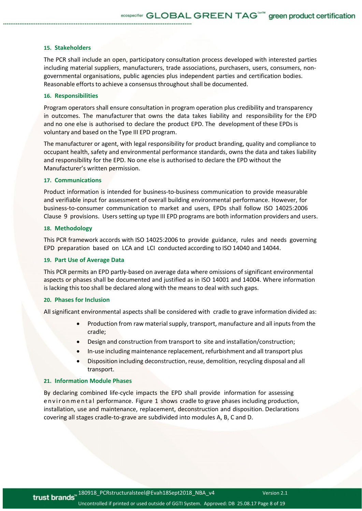#### **15. Stakeholders**

The PCR shall include an open, participatory consultation process developed with interested parties including material suppliers, manufacturers, trade associations, purchasers, users, consumers, nongovernmental organisations, public agencies plus independent parties and certification bodies. Reasonable efforts to achieve a consensus throughout shall be documented.

#### **16. Responsibilities**

Program operators shall ensure consultation in program operation plus credibility and transparency in outcomes. The manufacturer that owns the data takes liability and responsibility for the EPD and no one else is authorised to declare the product EPD. The development of these EPDs is voluntary and based on the Type III EPD program.

The manufacturer or agent, with legal responsibility for product branding, quality and compliance to occupant health, safety and environmental performance standards, owns the data and takes liability and responsibility for the EPD. No one else is authorised to declare the EPD without the Manufacturer's written permission.

#### **17. Communications**

Product information is intended for business‐to‐business communication to provide measurable and verifiable input for assessment of overall building environmental performance. However, for business‐to‐consumer communication to market and users, EPDs shall follow ISO 14025:2006 Clause 9 provisions. Users setting up type III EPD programs are both information providers and users.

#### **18. Methodology**

This PCR framework accords with ISO 14025:2006 to provide guidance, rules and needs governing EPD preparation based on LCA and LCI conducted according to ISO 14040 and 14044.

#### **19. Part Use of Average Data**

This PCR permits an EPD partly‐based on average data where omissions of significant environmental aspects or phases shall be documented and justified as in ISO 14001 and 14004. Where information is lacking this too shall be declared along with the means to deal with such gaps.

#### **20. Phases for Inclusion**

All significant environmental aspects shall be considered with cradle to grave information divided as:

- Production from raw material supply, transport, manufacture and all inputs from the cradle;
- Design and construction from transport to site and installation/construction;
- In‐use including maintenance replacement, refurbishment and all transport plus
- Disposition including deconstruction, reuse, demolition, recycling disposal and all transport.

#### **21. Information Module Phases**

By declaring combined life-cycle impacts the EPD shall provide information for assessing en viron mental performance. Figure 1 shows cradle to grave phases including production, installation, use and maintenance, replacement, deconstruction and disposition. Declarations covering all stages cradle‐to‐grave are subdivided into modules A, B, C and D.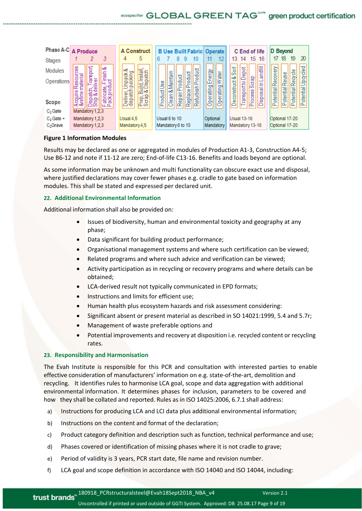# ecospecifier GLOBAL GREEN TAG<sup>6678</sup> green product certification



# **Figure 1 Information Modules**

Results may be declared as one or aggregated in modules of Production A1‐3, Construction A4‐5; Use B6‐12 and note if 11‐12 are zero; End‐of‐life C13‐16. Benefits and loads beyond are optional.

As some information may be unknown and multi functionality can obscure exact use and disposal, where justified declarations may cover fewer phases e.g. cradle to gate based on information modules. This shall be stated and expressed per declared unit.

# **22. Additional Environmental Information**

Additional information shall also be provided on:

- Issues of biodiversity, human and environmental toxicity and geography at any phase;
- Data significant for building product performance;
- Organisational management systems and where such certification can be viewed;
- Related programs and where such advice and verification can be viewed;
- Activity participation as in recycling or recovery programs and where details can be obtained;
- LCA-derived result not typically communicated in EPD formats;
- Instructions and limits for efficient use:
- Human health plus ecosystem hazards and risk assessment considering:
- Significant absent or present material as described in SO 14021:1999, 5.4 and 5.7r;
- Management of waste preferable options and
- Potential improvements and recovery at disposition i.e. recycled content or recycling rates.

# **23. Responsibility and Harmonisation**

The Evah Institute is responsible for this PCR and consultation with interested parties to enable effective consideration of manufacturers' information on e.g. state‐of‐the‐art, demolition and recycling. It identifies rules to harmonise LCA goal, scope and data aggregation with additional environmental information. It determines phases for inclusion, parameters to be covered and how they shall be collated and reported. Rules as in ISO 14025:2006, 6.7.1 shall address:

- a) Instructions for producing LCA and LCI data plus additional environmental information;
- b) Instructions on the content and format of the declaration;
- c) Product category definition and description such as function, technical performance and use;
- d) Phases covered or identification of missing phases where it is not cradle to grave;
- e) Period of validity is 3 years, PCR start date, file name and revision number.
- f) LCA goal and scope definition in accordance with ISO 14040 and ISO 14044, including: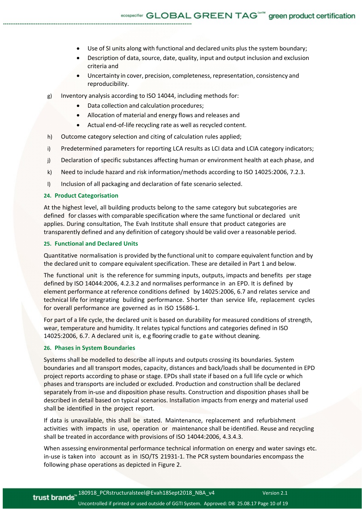- Use of SI units along with functional and declared units plus the system boundary;
- Description of data, source, date, quality, input and output inclusion and exclusion criteria and
- Uncertainty in cover, precision, completeness, representation, consistency and reproducibility.
- g) Inventory analysis according to ISO 14044, including methods for:
	- Data collection and calculation procedures;
	- Allocation of material and energy flows and releases and
	- Actual end-of-life recycling rate as well as recycled content.
- h) Outcome category selection and citing of calculation rules applied;
- i) Predetermined parameters for reporting LCA results as LCI data and LCIA category indicators;
- j) Declaration of specific substances affecting human or environment health at each phase, and
- k) Need to include hazard and risk information/methods according to ISO 14025:2006, 7.2.3.
- l) Inclusion of all packaging and declaration of fate scenario selected.

## **24. Product Categorisation**

At the highest level, all building products belong to the same category but subcategories are defined for classes with comparable specification where the same functional or declared unit applies. During consultation, The Evah Institute shall ensure that product categories are transparently defined and any definition of category should be valid over a reasonable period.

#### **25. Functional and Declared Units**

Quantitative normalisation is provided by the functional unit to compare equivalent function and by the declared unit to compare equivalent specification. These are detailed in Part 1 and below.

The functional unit is the reference for summing inputs, outputs, impacts and benefits per stage defined by ISO 14044:2006, 4.2.3.2 and normalises performance in an EPD. It is defined by element performance at reference conditions defined by 14025:2006, 6.7 and relates service and technical life for integrating building performance. S horter than service life, replacement cycles for overall performance are governed as in ISO 15686‐1.

For part of a life cycle, the declared unit is based on durability for measured conditions of strength, wear, temperature and humidity. It relates typical functions and categories defined in ISO 14025:2006, 6.7. A declared unit is, e.g flooring cradle to gate without cleaning.

### **26. Phases in System Boundaries**

Systems shall be modelled to describe all inputs and outputs crossing its boundaries. System boundaries and all transport modes, capacity, distances and back/loads shall be documented in EPD project reports according to phase or stage. EPDs shall state if based on a full life cycle or which phases and transports are included or excluded. Production and construction shall be declared separately from in-use and disposition phase results. Construction and disposition phases shall be described in detail based on typical scenarios. Installation impacts from energy and material used shall be identified in the project report.

If data is unavailable, this shall be stated. Maintenance, replacement and refurbishment activities with impacts in use, operation or maintenance shall be identified. Reuse and recycling shall be treated in accordance with provisions of ISO 14044:2006, 4.3.4.3.

When assessing environmental performance technical information on energy and water savings etc. in-use is taken into account as in ISO/TS 21931-1. The PCR system boundaries encompass the following phase operations as depicted in Figure 2.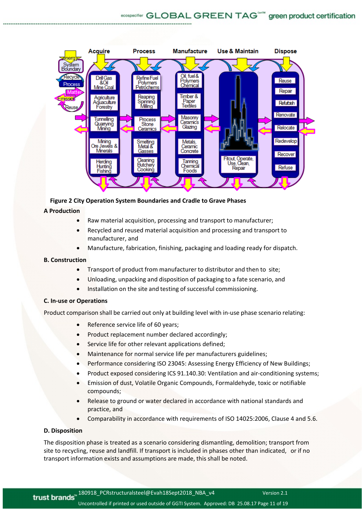

# **Figure 2 City Operation System Boundaries and Cradle to Grave Phases**

# **A Production**

- Raw material acquisition, processing and transport to manufacturer;
- Recycled and reused material acquisition and processing and transport to manufacturer, and
- Manufacture, fabrication, finishing, packaging and loading ready for dispatch.

# **B. Construction**

- Transport of product from manufacturer to distributor and then to site:
- Unloading, unpacking and disposition of packaging to a fate scenario, and
- Installation on the site and testing of successful commissioning.

# **C. In‐use or Operations**

Product comparison shall be carried out only at building level with in‐use phase scenario relating:

- Reference service life of 60 years;
- Product replacement number declared accordingly;
- Service life for other relevant applications defined;
- Maintenance for normal service life per manufacturers guidelines;
- Performance considering ISO 23045: Assessing Energy Efficiency of New Buildings;
- Product exposed considering ICS 91.140.30: Ventilation and air‐conditioning systems;
- Emission of dust, Volatile Organic Compounds, Formaldehyde, toxic or notifiable compounds;
- Release to ground or water declared in accordance with national standards and practice, and
- Comparability in accordance with requirements of ISO 14025:2006, Clause 4 and 5.6.

# **D. Disposition**

The disposition phase is treated as a scenario considering dismantling, demolition; transport from site to recycling, reuse and landfill. If transport is included in phases other than indicated, or if no transport information exists and assumptions are made, this shall be noted.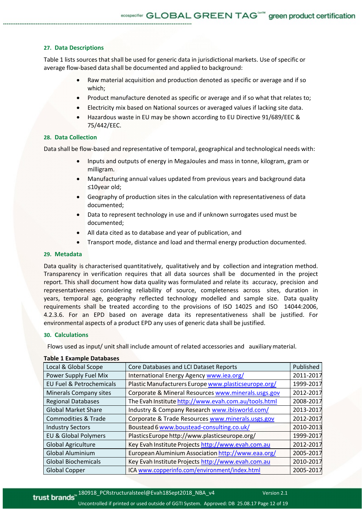# **27. Data Descriptions**

Table 1 lists sources that shall be used for generic data in jurisdictional markets. Use of specific or average flow-based data shall be documented and applied to background:

- Raw material acquisition and production denoted as specific or average and if so which;
- Product manufacture denoted as specific or average and if so what that relates to;
- Electricity mix based on National sources or averaged values if lacking site data.
- Hazardous waste in EU may be shown according to EU Directive 91/689/EEC & 75/442/EEC.

# **28. Data Collection**

Data shall be flow‐based and representative of temporal, geographical and technological needs with:

- Inputs and outputs of energy in MegaJoules and mass in tonne, kilogram, gram or milligram.
- Manufacturing annual values updated from previous years and background data ≤10year old;
- Geography of production sites in the calculation with representativeness of data documented;
- Data to represent technology in use and if unknown surrogates used must be documented;
- All data cited as to database and year of publication, and
- Transport mode, distance and load and thermal energy production documented.

#### **29. Metadata**

Data quality is characterised quantitatively, qualitatively and by collection and integration method. Transparency in verification requires that all data sources shall be documented in the project report. This shall document how data quality was formulated and relate its accuracy, precision and representativeness considering reliability of source, completeness across sites, duration in years, temporal age, geography reflected technology modelled and sample size. Data quality requirements shall be treated according to the provisions of ISO 14025 and ISO 14044:2006, 4.2.3.6. For an EPD based on average data its representativeness shall be justified. For environmental aspects of a product EPD any uses of generic data shall be justified.

#### **30. Calculations**

Flows used as input/ unit shall include amount of related accessories and auxiliary material.

| Local & Global Scope                | Core Databases and LCI Dataset Reports               | Published |
|-------------------------------------|------------------------------------------------------|-----------|
| Power Supply Fuel Mix               | International Energy Agency www.iea.org/             | 2011-2017 |
| <b>EU Fuel &amp; Petrochemicals</b> | Plastic Manufacturers Europe www.plasticseurope.org/ | 1999-2017 |
| <b>Minerals Company sites</b>       | Corporate & Mineral Resources www.minerals.usgs.gov  | 2012-2017 |
| <b>Regional Databases</b>           | The Evah Institute http://www.evah.com.au/tools.html | 2008-2017 |
| <b>Global Market Share</b>          | Industry & Company Research www.ibisworld.com/       | 2013-2017 |
| <b>Commodities &amp; Trade</b>      | Corporate & Trade Resources www.minerals.usgs.gov    | 2012-2017 |
| <b>Industry Sectors</b>             | Boustead 6 www.boustead-consulting.co.uk/            | 2010-2013 |
| <b>EU &amp; Global Polymers</b>     | Plastics Europe http://www.plasticseurope.org/       | 1999-2017 |
| Global Agriculture                  | Key Evah Institute Projects http://www.evah.com.au   | 2012-2017 |
| <b>Global Aluminium</b>             | European Aluminium Association http://www.eaa.org/   | 2005-2017 |
| <b>Global Biochemicals</b>          | Key Evah Institute Projects http://www.evah.com.au   | 2010-2017 |
| <b>Global Copper</b>                | ICA www.copperinfo.com/environment/index.html        | 2005-2017 |

#### **Table 1 Example Databases**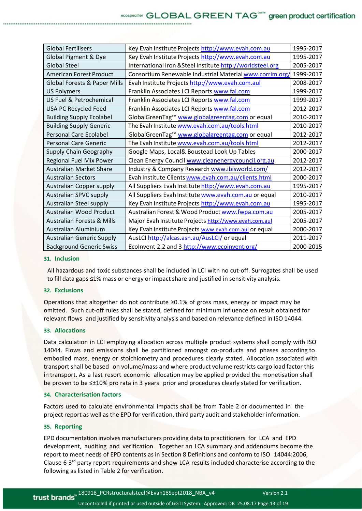| <b>Global Fertilisers</b>             | Key Evah Institute Projects http://www.evah.com.au         | 1995-2017 |
|---------------------------------------|------------------------------------------------------------|-----------|
| Global Pigment & Dye                  | Key Evah Institute Projects http://www.evah.com.au         | 1995-2017 |
| <b>Global Steel</b>                   | International Iron & Steel Institute http://worldsteel.org | 2005-2017 |
| American Forest Product               | Consortium Renewable Industrial Material www.corrim.org/   | 1999-2017 |
| Global Forests & Paper Mills          | Evah Institute Projects http://www.evah.com.aul            | 2008-2017 |
| <b>US Polymers</b>                    | Franklin Associates LCI Reports www.fal.com                | 1999-2017 |
| <b>US Fuel &amp; Petrochemical</b>    | Franklin Associates LCI Reports www.fal.com                | 1999-2017 |
| USA PC Recycled Feed                  | Franklin Associates LCI Reports www.fal.com                | 2012-2017 |
| <b>Building Supply Ecolabel</b>       | GlobalGreenTag™ www.globalgreentag.com or equal            | 2010-2017 |
| <b>Building Supply Generic</b>        | The Evah Institute www.evah.com.au/tools.html              | 2010-2017 |
| <b>Personal Care Ecolabel</b>         | GlobalGreenTag™ www.globalgreentag.com or equal            | 2012-2017 |
| <b>Personal Care Generic</b>          | The Evah Institute www.evah.com.au/tools.html              | 2012-2017 |
| Supply Chain Geography                | Google Maps, Local& Boustead Look Up Tables                | 2000-2017 |
| Regional Fuel Mix Power               | Clean Energy Council www.cleanenergycouncil.org.au         | 2012-2017 |
| <b>Australian Market Share</b>        | Industry & Company Research www.ibisworld.com/             | 2012-2017 |
| <b>Australian Sectors</b>             | Evah Institute Clients www.evah.com.au/clients.html        | 2000-2017 |
| Australian Copper supply              | All Suppliers Evah Institute http://www.evah.com.au        | 1995-2017 |
| Australian SPVC supply                | All Suppliers Evah Institute www.evah.com.au or equal      | 2010-2017 |
| Australian Steel supply               | Key Evah Institute Projects http://www.evah.com.au         | 1995-2017 |
| Australian Wood Product               | Australian Forest & Wood Product www.fwpa.com.au           | 2005-2017 |
| <b>Australian Forests &amp; Mills</b> | Major Evah Institute Projects http://www.evah.com.aul      | 2005-2017 |
| Australian Aluminium                  | Key Evah Institute Projects www.evah.com.aul or equal      | 2000-2017 |
| <b>Australian Generic Supply</b>      | AusLCI http://alcas.asn.au/AusLCI/ or equal                | 2011-2017 |
| <b>Background Generic Swiss</b>       | Ecolnvent 2.2 and 3 http://www.ecoinvent.org/              | 2000-2015 |
|                                       |                                                            |           |

#### **31. Inclusion**

All hazardous and toxic substances shall be included in LCI with no cut‐off. Surrogates shall be used to fill data gaps ≤1% mass or energy or impact share and justified in sensitivity analysis.

#### **32. Exclusions**

Operations that altogether do not contribute ≥0.1% of gross mass, energy or impact may be omitted. Such cut‐off rules shall be stated, defined for minimum influence on result obtained for relevant flows and justified by sensitivity analysis and based on relevance defined in ISO 14044.

#### **33. Allocations**

Data calculation in LCI employing allocation across multiple product systems shall comply with ISO 14044. Flows and emissions shall be partitioned amongst co-products and phases according to embodied mass, energy or stoichiometry and procedures clearly stated. Allocation associated with transport shall be based on volume/mass and where product volume restricts cargo load factor this in transport. As a last resort economic allocation may be applied provided the monetisation shall be proven to be ≤±10% pro rata in 3 years prior and procedures clearly stated for verification.

## **34. Characterisation factors**

Factors used to calculate environmental impacts shall be from Table 2 or documented in the project report as well as the EPD for verification, third party audit and stakeholder information.

#### **35. Reporting**

EPD documentation involves manufacturers providing data to practitioners for LCA and EPD development, auditing and verification. Together an LCA summary and addendums become the report to meet needs of EPD contents as in Section 8 Definitions and conform to ISO 14044:2006, Clause 6 3rd party report requirements and show LCA results included characterise according to the following as listed in Table 2 for verification.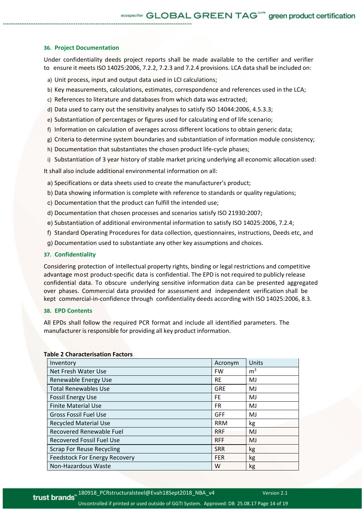# **36. Project Documentation**

Under confidentiality deeds project reports shall be made available to the certifier and verifier to ensure it meets ISO 14025:2006, 7.2.2, 7.2.3 and 7.2.4 provisions. LCA data shall be included on:

- a) Unit process, input and output data used in LCI calculations;
- b) Key measurements, calculations, estimates, correspondence and references used in the LCA;
- c) References to literature and databases from which data was extracted;
- d) Data used to carry out the sensitivity analyses to satisfy ISO 14044:2006, 4.5.3.3;
- e) Substantiation of percentages or figures used for calculating end of life scenario;
- f) Information on calculation of averages across different locations to obtain generic data;
- g) Criteria to determine system boundaries and substantiation of information module consistency;
- h) Documentation that substantiates the chosen product life-cycle phases;
- i) Substantiation of 3 year history of stable market pricing underlying all economic allocation used:

It shall also include additional environmental information on all:

- a) Specifications or data sheets used to create the manufacturer's product;
- b) Data showing information is complete with reference to standards or quality regulations;
- c) Documentation that the product can fulfill the intended use;
- d) Documentation that chosen processes and scenarios satisfy ISO 21930:2007;
- e) Substantiation of additional environmental information to satisfy ISO 14025:2006, 7.2.4;
- f) Standard Operating Procedures for data collection, questionnaires, instructions, Deeds etc, and
- g) Documentation used to substantiate any other key assumptions and choices.

#### **37. Confidentiality**

Considering protection of intellectual property rights, binding or legal restrictions and competitive advantage most product-specific data is confidential. The EPD is not required to publicly release confidential data. To obscure underlying sensitive information data can be presented aggregated over phases. Commercial data provided for assessment and independent verification shall be kept commercial-in-confidence through confidentiality deeds according with ISO 14025:2006, 8.3.

#### **38. EPD Contents**

All EPDs shall follow the required PCR format and include all identified parameters. The manufacturer is responsible for providing all key product information.

| Inventory                            | Acronym    | Units          |
|--------------------------------------|------------|----------------|
| Net Fresh Water Use                  | <b>FW</b>  | m <sup>3</sup> |
| Renewable Energy Use                 | <b>RE</b>  | MJ             |
| <b>Total Renewables Use</b>          | GRE        | MJ             |
| <b>Fossil Energy Use</b>             | <b>FE</b>  | MJ             |
| <b>Finite Material Use</b>           | <b>FR</b>  | MJ             |
| <b>Gross Fossil Fuel Use</b>         | <b>GFF</b> | MJ             |
| <b>Recycled Material Use</b>         | <b>RRM</b> | kg             |
| Recovered Renewable Fuel             | <b>RRF</b> | MJ             |
| <b>Recovered Fossil Fuel Use</b>     | <b>RFF</b> | MJ             |
| <b>Scrap For Reuse Recycling</b>     | <b>SRR</b> | kg             |
| <b>Feedstock For Energy Recovery</b> | <b>FER</b> | kg             |
| Non-Hazardous Waste                  | W          | kg             |

#### **Table 2 Characterisation Factors**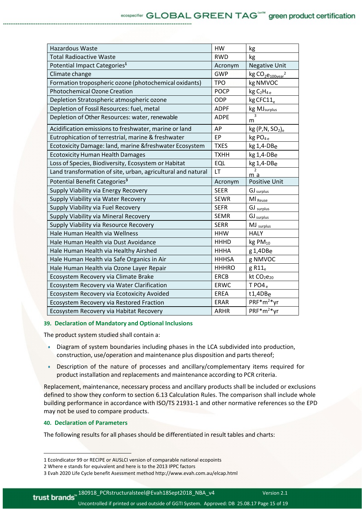| <b>Hazardous Waste</b>                                       | HW           | kg                                     |
|--------------------------------------------------------------|--------------|----------------------------------------|
| <b>Total Radioactive Waste</b>                               | <b>RWD</b>   | kg                                     |
| Potential Impact Categories <sup>1</sup>                     | Acronym      | <b>Negative Unit</b>                   |
| Climate change                                               | <b>GWP</b>   | $kg CO2e100$ vear <sup>2</sup>         |
| Formation tropospheric ozone (photochemical oxidants)        | <b>TPO</b>   | kg NMVOC                               |
| <b>Photochemical Ozone Creation</b>                          | <b>POCP</b>  | kg C <sub>2</sub> H <sub>4e</sub>      |
| Depletion Stratospheric atmospheric ozone                    | <b>ODP</b>   | kg CFC11 <sub>e</sub>                  |
| Depletion of Fossil Resources: fuel, metal                   | <b>ADPF</b>  | kg MJ <sub>surplus</sub>               |
| Depletion of Other Resources: water, renewable               | <b>ADPE</b>  | m                                      |
| Acidification emissions to freshwater, marine or land        | AP           | kg(P,N, SO <sub>2</sub> ) <sub>e</sub> |
| Eutrophication of terrestrial, marine & freshwater           | EP           | kg PO <sub>4e</sub>                    |
| Ecotoxicity Damage: land, marine & freshwater Ecosystem      | <b>TXES</b>  | kg 1,4-DBe                             |
| <b>Ecotoxicity Human Health Damages</b>                      | <b>TXHH</b>  | kg 1,4-DBe                             |
| Loss of Species, Biodiversity, Ecosystem or Habitat          | <b>EQL</b>   | kg 1,4-DBe                             |
| Land transformation of site, urban, agricultural and natural | LT           | $\overline{2}$<br>m a                  |
| Potential Benefit Categories <sup>3</sup>                    | Acronym      | Positive Unit                          |
| Supply Viability via Energy Recovery                         | <b>SEER</b>  | GJ surplus                             |
| Supply Viability via Water Recovery                          | <b>SEWR</b>  | MI <sub>Reuse</sub>                    |
| Supply Viability via Fuel Recovery                           | <b>SEFR</b>  | GJ surplus                             |
| Supply Viability via Mineral Recovery                        | <b>SEMR</b>  | GJ surplus                             |
| Supply Viability via Resource Recovery                       | <b>SERR</b>  | MJ surplus                             |
| Hale Human Health via Wellness                               | <b>HHW</b>   | <b>HALY</b>                            |
| Hale Human Health via Dust Avoidance                         | <b>HHHD</b>  | $kgPM_{10}$                            |
| Hale Human Health via Healthy Airshed                        | <b>HHHA</b>  | g 1,4DBe                               |
| Hale Human Health via Safe Organics in Air                   | <b>HHHSA</b> | g NMVOC                                |
| Hale Human Health via Ozone Layer Repair                     | <b>HHHRO</b> | $g$ R11 $_e$                           |
| Ecosystem Recovery via Climate Brake                         | <b>ERCB</b>  | kt CO <sub>2</sub> e <sub>20</sub>     |
| Ecosystem Recovery via Water Clarification                   | <b>ERWC</b>  | TPO4 <sub>e</sub>                      |
| Ecosystem Recovery via Ecotoxicity Avoided                   | EREA         | t1,4DBe                                |
| Ecosystem Recovery via Restored Fraction                     | <b>ERAR</b>  | $PRF*m^{2*}Vr$                         |
| Ecosystem Recovery via Habitat Recovery                      | <b>ARHR</b>  | PRF*m <sup>2*</sup> yr                 |

#### **39. Declaration of Mandatory and Optional Inclusions**

The product system studied shall contain a:

- Diagram of system boundaries including phases in the LCA subdivided into production, construction, use/operation and maintenance plus disposition and parts thereof;
- Description of the nature of processes and ancillary/complementary items required for product installation and replacements and maintenance according to PCR criteria.

Replacement, maintenance, necessary process and ancillary products shall be included or exclusions defined to show they conform to section 6.13 Calculation Rules. The comparison shall include whole building performance in accordance with ISO/TS 21931‐1 and other normative references so the EPD may not be used to compare products.

# **40. Declaration of Parameters**

<u>ta da bara da seria da bara da bara da bara da bara da bara da bara da bara da bara da bara da bara da bara d</u>

The following results for all phases should be differentiated in result tables and charts:

<sup>1</sup> EcoIndicator 99 or RECIPE or AUSLCI version of comparable national ecopoints

<sup>2</sup> Where e stands for equivalent and here is to the 2013 IPPC factors

<sup>3</sup> Evah 2020 Life Cycle benefit Asessment method http://www.evah.com.au/elcap.html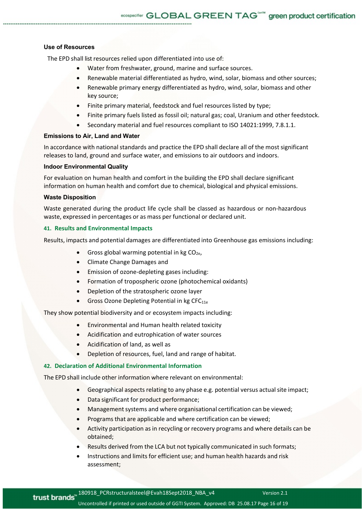### **Use of Resources**

The EPD shall list resources relied upon differentiated into use of:

- Water from freshwater, ground, marine and surface sources.
- Renewable material differentiated as hydro, wind, solar, biomass and other sources;
- Renewable primary energy differentiated as hydro, wind, solar, biomass and other key source;
- Finite primary material, feedstock and fuel resources listed by type;
- Finite primary fuels listed as fossil oil; natural gas; coal, Uranium and other feedstock.
- Secondary material and fuel resources compliant to ISO 14021:1999, 7.8.1.1.

#### **Emissions to Air, Land and Water**

In accordance with national standards and practice the EPD shall declare all of the most significant releases to land, ground and surface water, and emissions to air outdoors and indoors.

#### **Indoor Environmental Quality**

For evaluation on human health and comfort in the building the EPD shall declare significant information on human health and comfort due to chemical, biological and physical emissions.

#### **Waste Disposition**

Waste generated during the product life cycle shall be classed as hazardous or non-hazardous waste, expressed in percentages or as mass per functional or declared unit.

#### **41. Results and Environmental Impacts**

Results, impacts and potential damages are differentiated into Greenhouse gas emissions including:

- Gross global warming potential in  $kg CO<sub>2e</sub>$ ,
- Climate Change Damages and
- Emission of ozone‐depleting gases including:
- Formation of tropospheric ozone (photochemical oxidants)
- Depletion of the stratospheric ozone layer
- Gross Ozone Depleting Potential in kg CFC<sub>11e</sub>

They show potential biodiversity and or ecosystem impacts including:

- Environmental and Human health related toxicity
- Acidification and eutrophication of water sources
- Acidification of land, as well as
- Depletion of resources, fuel, land and range of habitat.

# **42. Declaration of Additional Environmental Information**

The EPD shall include other information where relevant on environmental:

- Geographical aspects relating to any phase e.g. potential versus actual site impact;
- Data significant for product performance;
- Management systems and where organisational certification can be viewed;
- Programs that are applicable and where certification can be viewed;
- Activity participation as in recycling or recovery programs and where details can be obtained;
- Results derived from the LCA but not typically communicated in such formats;
- Instructions and limits for efficient use; and human health hazards and risk assessment;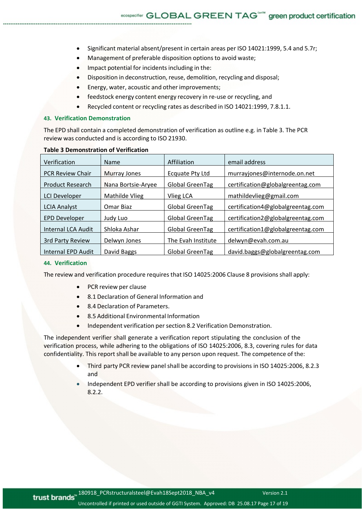- Significant material absent/present in certain areas per ISO 14021:1999, 5.4 and 5.7r;
- Management of preferable disposition options to avoid waste;
- Impact potential for incidents including in the:
- Disposition in deconstruction, reuse, demolition, recycling and disposal;
- Energy, water, acoustic and other improvements;
- feedstock energy content energy recovery in re‐use or recycling, and
- Recycled content or recycling rates as described in ISO 14021:1999, 7.8.1.1.

#### **43. Verification Demonstration**

The EPD shall contain a completed demonstration of verification as outline e.g. in Table 3. The PCR review was conducted and is according to ISO 21930.

| Verification            | Name               | Affiliation            | email address                     |
|-------------------------|--------------------|------------------------|-----------------------------------|
| <b>PCR Review Chair</b> | Murray Jones       | Ecquate Pty Ltd        | murrayjones@internode.on.net      |
| <b>Product Research</b> | Nana Bortsie-Aryee | Global GreenTag        | certification@globalgreentag.com  |
| <b>LCI Developer</b>    | Mathilde Vlieg     | Vlieg LCA              | mathildevlieg@gmail.com           |
| <b>LCIA Analyst</b>     | Omar Biaz          | <b>Global GreenTag</b> | certification4@globalgreentag.com |
| <b>EPD Developer</b>    | Judy Luo           | Global GreenTag        | certification2@globalgreentag.com |
| Internal LCA Audit      | Shloka Ashar       | Global GreenTag        | certification1@globalgreentag.com |
| 3rd Party Review        | Delwyn Jones       | The Evah Institute     | delwyn@evah.com.au                |
| Internal EPD Audit      | David Baggs        | Global GreenTag        | david.baggs@globalgreentag.com    |

#### **Table 3 Demonstration of Verification**

#### **44. Verification**

The review and verification procedure requires that ISO 14025:2006 Clause 8 provisions shall apply:

- PCR review per clause
- 8.1 Declaration of General Information and
- 8.4 Declaration of Parameters.
- 8.5 Additional Environmental Information
- Independent verification per section 8.2 Verification Demonstration.

The independent verifier shall generate a verification report stipulating the conclusion of the verification process, while adhering to the obligations of ISO 14025:2006, 8.3, covering rules for data confidentiality. This report shall be available to any person upon request. The competence of the:

- Third party PCR review panel shall be according to provisions in ISO 14025:2006, 8.2.3 and
- Independent EPD verifier shall be according to provisions given in ISO 14025:2006, 8.2.2.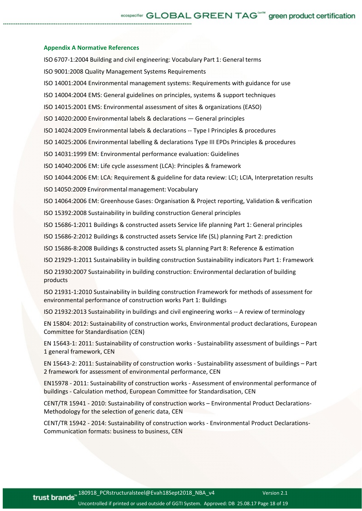#### **Appendix A Normative References**

ISO 6707‐1:2004 Building and civil engineering: Vocabulary Part 1: General terms ISO 9001:2008 Quality Management Systems Requirements ISO 14001:2004 Environmental management systems: Requirements with guidance for use ISO 14004:2004 EMS: General guidelines on principles, systems & support techniques ISO 14015:2001 EMS: Environmental assessment of sites & organizations (EASO) ISO 14020:2000 Environmental labels & declarations — General principles ISO 14024:2009 Environmental labels & declarations ‐‐ Type I Principles & procedures ISO 14025:2006 Environmental labelling & declarations Type III EPDs Principles & procedures ISO 14031:1999 EM: Environmental performance evaluation: Guidelines ISO 14040:2006 EM: Life cycle assessment (LCA): Principles & framework ISO 14044:2006 EM: LCA: Requirement & guideline for data review: LCI; LCIA, Interpretation results ISO 14050:2009 Environmental management: Vocabulary ISO 14064:2006 EM: Greenhouse Gases: Organisation & Project reporting, Validation & verification ISO 15392:2008 Sustainability in building construction General principles ISO 15686‐1:2011 Buildings & constructed assets Service life planning Part 1: General principles ISO 15686‐2:2012 Buildings & constructed assets Service life (SL) planning Part 2: prediction ISO 15686‐8:2008 Buildings & constructed assets SL planning Part 8: Reference & estimation ISO 21929‐1:2011 Sustainability in building construction Sustainability indicators Part 1: Framework ISO 21930:2007 Sustainability in building construction: Environmental declaration of building products ISO 21931‐1:2010 Sustainability in building construction Framework for methods of assessment for environmental performance of construction works Part 1: Buildings ISO 21932:2013 Sustainability in buildings and civil engineering works ‐‐ A review of terminology

EN 15804: 2012: Sustainability of construction works, Environmental product declarations, European Committee for Standardisation (CEN)

EN 15643‐1: 2011: Sustainability of construction works ‐ Sustainability assessment of buildings – Part 1 general framework, CEN

EN 15643‐2: 2011: Sustainability of construction works ‐ Sustainability assessment of buildings – Part 2 framework for assessment of environmental performance, CEN

EN15978 ‐ 2011: Sustainability of construction works ‐ Assessment of environmental performance of buildings ‐ Calculation method, European Committee for Standardisation, CEN

CENT/TR 15941 ‐ 2010: Sustainability of construction works – Environmental Product Declarations‐ Methodology for the selection of generic data, CEN

CENT/TR 15942 ‐ 2014: Sustainability of construction works ‐ Environmental Product Declarations‐ Communication formats: business to business, CEN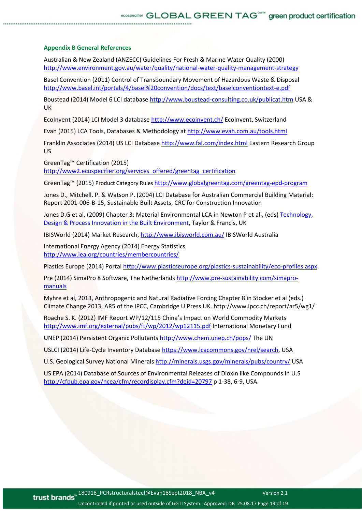# **Appendix B General References**

Australian & New Zealand (ANZECC) Guidelines For Fresh & Marine Water Quality (2000) http://www.environment.gov.au/water/quality/national-water-quality-management-strategy

Basel Convention (2011) Control of Transboundary Movement of Hazardous Waste & Disposal http://www.basel.int/portals/4/basel%20convention/docs/text/baselconventiontext‐e.pdf

Boustead (2014) Model 6 LCI database http://www.boustead‐consulting.co.uk/publicat.htm USA & UK

EcoInvent (2014) LCI Model 3 database http://www.ecoinvent.ch/ EcoInvent, Switzerland

Evah (2015) LCA Tools, Databases & Methodology at http://www.evah.com.au/tools.html

Franklin Associates (2014) US LCI Database http://www.fal.com/index.html Eastern Research Group US

GreenTag™ Certification (2015)

http://www2.ecospecifier.org/services\_offered/greentag\_certification

GreenTag™ (2015) Product Category Rules http://www.globalgreentag.com/greentag‐epd‐program

Jones D., Mitchell. P. & Watson P. (2004) LCI Database for Australian Commercial Building Material: Report 2001‐006‐B‐15, Sustainable Built Assets, CRC for Construction Innovation

Jones D.G et al. (2009) Chapter 3: Material Environmental LCA in Newton P et al., (eds) Technology, Design & Process Innovation in the Built Environment, Taylor & Francis, UK

IBISWorld (2014) Market Research, http://www.ibisworld.com.au/ IBISWorld Australia

International Energy Agency (2014) Energy Statistics http://www.iea.org/countries/membercountries/

Plastics Europe (2014) Portal http://www.plasticseurope.org/plastics-sustainability/eco-profiles.aspx

Pre (2014) SimaPro 8 Software, The Netherlands http://www.pre-sustainability.com/simapromanuals

Myhre et al, 2013, Anthropogenic and Natural Radiative Forcing Chapter 8 in Stocker et al (eds.) Climate Change 2013, AR5 of the IPCC, Cambridge U Press UK. http://www.ipcc.ch/report/ar5/wg1/

Roache S. K. (2012) IMF Report WP/12/115 China's Impact on World Commodity Markets http://www.imf.org/external/pubs/ft/wp/2012/wp12115.pdf International Monetary Fund

UNEP (2014) Persistent Organic Pollutants http://www.chem.unep.ch/pops/ The UN

USLCI (2014) Life‐Cycle Inventory Database https://www.lcacommons.gov/nrel/search, USA

U.S. Geological Survey National Minerals http://minerals.usgs.gov/minerals/pubs/country/ USA

US EPA (2014) Database of Sources of Environmental Releases of Dioxin like Compounds in U.S http://cfpub.epa.gov/ncea/cfm/recordisplay.cfm?deid=20797 p 1‐38, 6‐9, USA.